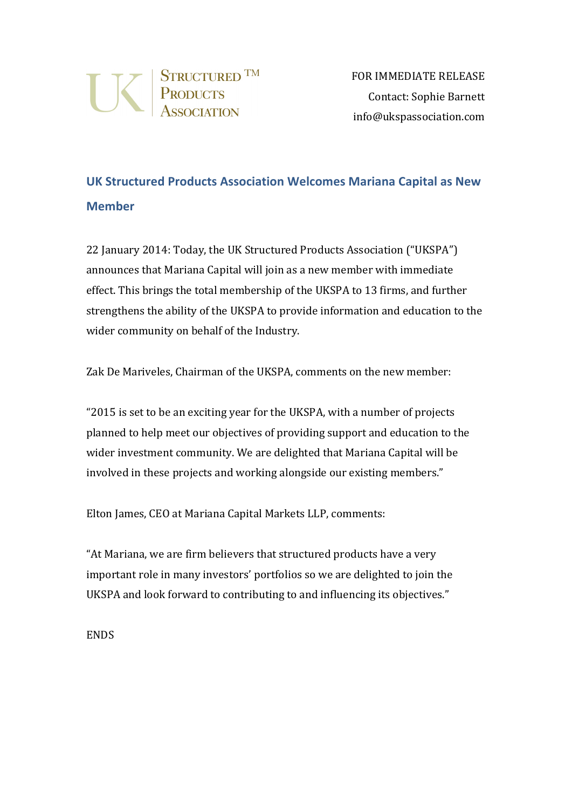

## **UK Structured Products Association Welcomes Mariana Capital as New Member**

22 January 2014: Today, the UK Structured Products Association ("UKSPA") announces that Mariana Capital will join as a new member with immediate effect. This brings the total membership of the UKSPA to 13 firms, and further strengthens the ability of the UKSPA to provide information and education to the wider community on behalf of the Industry.

Zak De Mariveles, Chairman of the UKSPA, comments on the new member:

"2015 is set to be an exciting year for the UKSPA, with a number of projects planned to help meet our objectives of providing support and education to the wider investment community. We are delighted that Mariana Capital will be involved in these projects and working alongside our existing members."

Elton James, CEO at Mariana Capital Markets LLP, comments:

"At Mariana, we are firm believers that structured products have a very important role in many investors' portfolios so we are delighted to join the UKSPA and look forward to contributing to and influencing its objectives."

ENDS